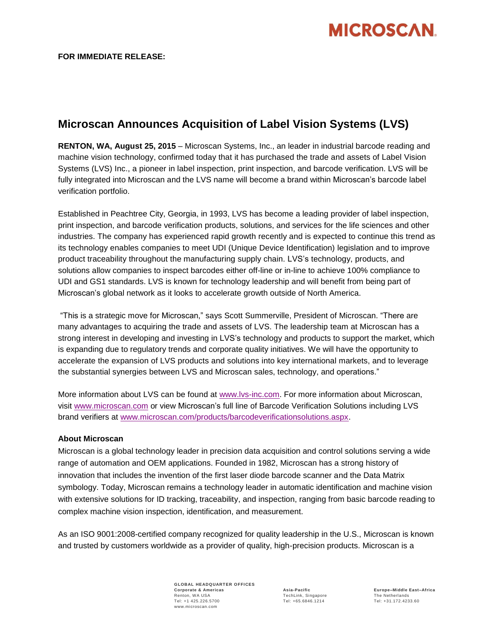## **MICROSCAN**

## **Microscan Announces Acquisition of Label Vision Systems (LVS)**

**RENTON, WA, August 25, 2015** – Microscan Systems, Inc., an leader in industrial barcode reading and machine vision technology, confirmed today that it has purchased the trade and assets of Label Vision Systems (LVS) Inc., a pioneer in label inspection, print inspection, and barcode verification. LVS will be fully integrated into Microscan and the LVS name will become a brand within Microscan's barcode label verification portfolio.

Established in Peachtree City, Georgia, in 1993, LVS has become a leading provider of label inspection, print inspection, and barcode verification products, solutions, and services for the life sciences and other industries. The company has experienced rapid growth recently and is expected to continue this trend as its technology enables companies to meet UDI (Unique Device Identification) legislation and to improve product traceability throughout the manufacturing supply chain. LVS's technology, products, and solutions allow companies to inspect barcodes either off-line or in-line to achieve 100% compliance to UDI and GS1 standards. LVS is known for technology leadership and will benefit from being part of Microscan's global network as it looks to accelerate growth outside of North America.

"This is a strategic move for Microscan," says Scott Summerville, President of Microscan. "There are many advantages to acquiring the trade and assets of LVS. The leadership team at Microscan has a strong interest in developing and investing in LVS's technology and products to support the market, which is expanding due to regulatory trends and corporate quality initiatives. We will have the opportunity to accelerate the expansion of LVS products and solutions into key international markets, and to leverage the substantial synergies between LVS and Microscan sales, technology, and operations."

More information about LVS can be found at [www.lvs-inc.com.](http://www.lvs-inc.com/) For more information about Microscan, visit [www.microscan.com](http://www.microscan.com/home.aspx?utm_campaign=lvs&utm_source=pr&utm_medium=pr&utm_content=lvs-acq) or view Microscan's full line of Barcode Verification Solutions including LVS brand verifiers at [www.microscan.com/products/barcodeverificationsolutions.aspx.](http://www.microscan.com/en-us/products/barcodeverificationsolutions.aspx?utm_campaign=lvs&utm_source=pr&utm_medium=pr&utm_content=lvs-acq)

## **About Microscan**

Microscan is a global technology leader in precision data acquisition and control solutions serving a wide range of automation and OEM applications. Founded in 1982, Microscan has a strong history of innovation that includes the invention of the first laser diode barcode scanner and the Data Matrix symbology. Today, Microscan remains a technology leader in automatic identification and machine vision with extensive solutions for ID tracking, traceability, and inspection, ranging from basic barcode reading to complex machine vision inspection, identification, and measurement.

As an ISO 9001:2008-certified company recognized for quality leadership in the U.S., Microscan is known and trusted by customers worldwide as a provider of quality, high-precision products. Microscan is a

> **GLOBAL HEADQUARTER OFFICES**<br>Corporate & Americas **Corporate & Americas**<br> **Corporate & Americas**<br> **Asia-Pacific**<br> **Asia-Pacific**<br> **Asia-Pacific**<br> **Corporate & Americas**<br> **Asia-Pacific**<br> **Corporate & Americas**<br> **Corporate & Americas**<br> **Corporate & Americas**<br> **Corporate & A** www.microscan.com

TechLink, Singapore The Netherlands<br>
Tel: +65.6846.1214 Tel: +31.172.423

Tel: +31.172.4233.60